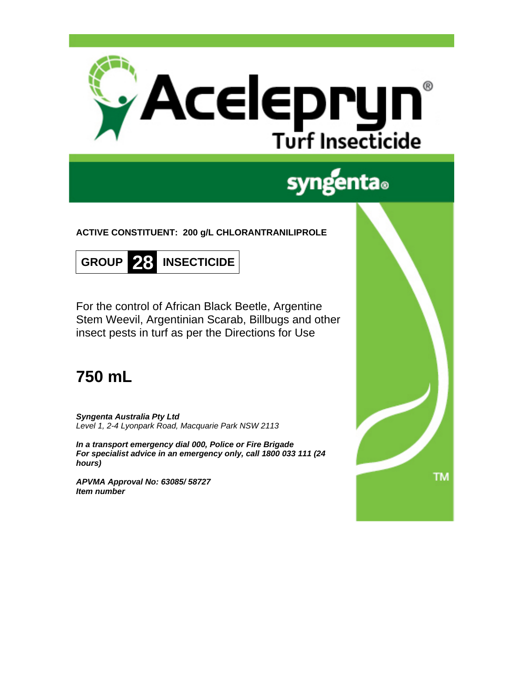

# syngenta®

**ACTIVE CONSTITUENT: 200 g/L CHLORANTRANILIPROLE** 



For the control of African Black Beetle, Argentine Stem Weevil, Argentinian Scarab, Billbugs and other insect pests in turf as per the Directions for Use

## **750 mL**

*Syngenta Australia Pty Ltd Level 1, 2-4 Lyonpark Road, Macquarie Park NSW 2113* 

*In a transport emergency dial 000, Police or Fire Brigade For specialist advice in an emergency only, call 1800 033 111 (24 hours)* 

*APVMA Approval No: 63085/ 58727 Item number* 

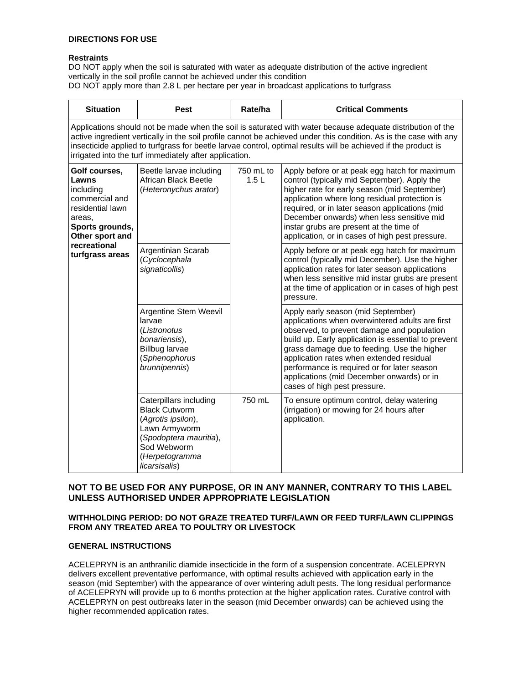#### **Restraints**

DO NOT apply when the soil is saturated with water as adequate distribution of the active ingredient vertically in the soil profile cannot be achieved under this condition DO NOT apply more than 2.8 L per hectare per year in broadcast applications to turfgrass

| <b>Situation</b>                                                                                                                                                                                                                                                                                                                                                                                            | <b>Pest</b>                                                                                                                                                       | Rate/ha           | <b>Critical Comments</b>                                                                                                                                                                                                                                                                                                                                                                                          |  |
|-------------------------------------------------------------------------------------------------------------------------------------------------------------------------------------------------------------------------------------------------------------------------------------------------------------------------------------------------------------------------------------------------------------|-------------------------------------------------------------------------------------------------------------------------------------------------------------------|-------------------|-------------------------------------------------------------------------------------------------------------------------------------------------------------------------------------------------------------------------------------------------------------------------------------------------------------------------------------------------------------------------------------------------------------------|--|
| Applications should not be made when the soil is saturated with water because adequate distribution of the<br>active ingredient vertically in the soil profile cannot be achieved under this condition. As is the case with any<br>insecticide applied to turfgrass for beetle larvae control, optimal results will be achieved if the product is<br>irrigated into the turf immediately after application. |                                                                                                                                                                   |                   |                                                                                                                                                                                                                                                                                                                                                                                                                   |  |
| Golf courses,<br>Lawns<br>including<br>commercial and<br>residential lawn<br>areas.<br>Sports grounds,<br>Other sport and<br>recreational<br>turfgrass areas                                                                                                                                                                                                                                                | Beetle larvae including<br>African Black Beetle<br>(Heteronychus arator)                                                                                          | 750 mL to<br>1.5L | Apply before or at peak egg hatch for maximum<br>control (typically mid September). Apply the<br>higher rate for early season (mid September)<br>application where long residual protection is<br>required, or in later season applications (mid<br>December onwards) when less sensitive mid<br>instar grubs are present at the time of<br>application, or in cases of high pest pressure.                       |  |
|                                                                                                                                                                                                                                                                                                                                                                                                             | Argentinian Scarab<br>(Cyclocephala<br>signaticollis)                                                                                                             |                   | Apply before or at peak egg hatch for maximum<br>control (typically mid December). Use the higher<br>application rates for later season applications<br>when less sensitive mid instar grubs are present<br>at the time of application or in cases of high pest<br>pressure.                                                                                                                                      |  |
|                                                                                                                                                                                                                                                                                                                                                                                                             | Argentine Stem Weevil<br>larvae<br>(Listronotus<br>bonariensis),<br><b>Billbug larvae</b><br>(Sphenophorus<br>brunnipennis)                                       |                   | Apply early season (mid September)<br>applications when overwintered adults are first<br>observed, to prevent damage and population<br>build up. Early application is essential to prevent<br>grass damage due to feeding. Use the higher<br>application rates when extended residual<br>performance is required or for later season<br>applications (mid December onwards) or in<br>cases of high pest pressure. |  |
|                                                                                                                                                                                                                                                                                                                                                                                                             | Caterpillars including<br><b>Black Cutworm</b><br>(Agrotis ipsilon),<br>Lawn Armyworm<br>(Spodoptera mauritia),<br>Sod Webworm<br>(Herpetogramma<br>licarsisalis) | 750 mL            | To ensure optimum control, delay watering<br>(irrigation) or mowing for 24 hours after<br>application.                                                                                                                                                                                                                                                                                                            |  |

#### **NOT TO BE USED FOR ANY PURPOSE, OR IN ANY MANNER, CONTRARY TO THIS LABEL UNLESS AUTHORISED UNDER APPROPRIATE LEGISLATION**

#### **WITHHOLDING PERIOD: DO NOT GRAZE TREATED TURF/LAWN OR FEED TURF/LAWN CLIPPINGS FROM ANY TREATED AREA TO POULTRY OR LIVESTOCK**

### **GENERAL INSTRUCTIONS**

ACELEPRYN is an anthranilic diamide insecticide in the form of a suspension concentrate. ACELEPRYN delivers excellent preventative performance, with optimal results achieved with application early in the season (mid September) with the appearance of over wintering adult pests. The long residual performance of ACELEPRYN will provide up to 6 months protection at the higher application rates. Curative control with ACELEPRYN on pest outbreaks later in the season (mid December onwards) can be achieved using the higher recommended application rates.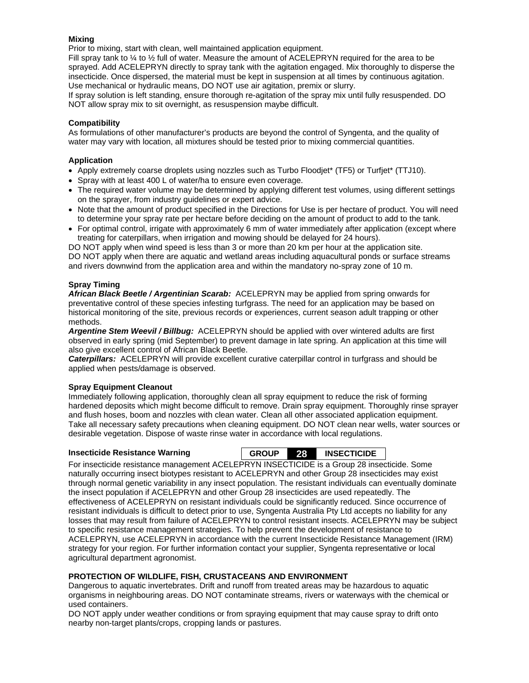#### **Mixing**

Prior to mixing, start with clean, well maintained application equipment.

Fill spray tank to 1/4 to 1/2 full of water. Measure the amount of ACELEPRYN required for the area to be sprayed. Add ACELEPRYN directly to spray tank with the agitation engaged. Mix thoroughly to disperse the insecticide. Once dispersed, the material must be kept in suspension at all times by continuous agitation. Use mechanical or hydraulic means, DO NOT use air agitation, premix or slurry.

If spray solution is left standing, ensure thorough re-agitation of the spray mix until fully resuspended. DO NOT allow spray mix to sit overnight, as resuspension maybe difficult.

#### **Compatibility**

As formulations of other manufacturer's products are beyond the control of Syngenta, and the quality of water may vary with location, all mixtures should be tested prior to mixing commercial quantities.

#### **Application**

- Apply extremely coarse droplets using nozzles such as Turbo Floodjet\* (TF5) or Turfjet\* (TTJ10).
- Spray with at least 400 L of water/ha to ensure even coverage.
- The required water volume may be determined by applying different test volumes, using different settings on the sprayer, from industry guidelines or expert advice.
- Note that the amount of product specified in the Directions for Use is per hectare of product. You will need to determine your spray rate per hectare before deciding on the amount of product to add to the tank.
- For optimal control, irrigate with approximately 6 mm of water immediately after application (except where treating for caterpillars, when irrigation and mowing should be delayed for 24 hours).

DO NOT apply when wind speed is less than 3 or more than 20 km per hour at the application site. DO NOT apply when there are aquatic and wetland areas including aquacultural ponds or surface streams and rivers downwind from the application area and within the mandatory no-spray zone of 10 m.

#### **Spray Timing**

*African Black Beetle / Argentinian Scarab:* ACELEPRYN may be applied from spring onwards for preventative control of these species infesting turfgrass. The need for an application may be based on historical monitoring of the site, previous records or experiences, current season adult trapping or other methods.

*Argentine Stem Weevil / Billbug:* ACELEPRYN should be applied with over wintered adults are first observed in early spring (mid September) to prevent damage in late spring. An application at this time will also give excellent control of African Black Beetle.

*Caterpillars:* ACELEPRYN will provide excellent curative caterpillar control in turfgrass and should be applied when pests/damage is observed.

#### **Spray Equipment Cleanout**

Immediately following application, thoroughly clean all spray equipment to reduce the risk of forming hardened deposits which might become difficult to remove. Drain spray equipment. Thoroughly rinse sprayer and flush hoses, boom and nozzles with clean water. Clean all other associated application equipment. Take all necessary safety precautions when cleaning equipment. DO NOT clean near wells, water sources or desirable vegetation. Dispose of waste rinse water in accordance with local regulations.

**Insecticide Resistance Warning GROUP 28 INSECTICIDE** 

For insecticide resistance management ACELEPRYN INSECTICIDE is a Group 28 insecticide. Some naturally occurring insect biotypes resistant to ACELEPRYN and other Group 28 insecticides may exist through normal genetic variability in any insect population. The resistant individuals can eventually dominate the insect population if ACELEPRYN and other Group 28 insecticides are used repeatedly. The effectiveness of ACELEPRYN on resistant individuals could be significantly reduced. Since occurrence of resistant individuals is difficult to detect prior to use, Syngenta Australia Pty Ltd accepts no liability for any losses that may result from failure of ACELEPRYN to control resistant insects. ACELEPRYN may be subject to specific resistance management strategies. To help prevent the development of resistance to ACELEPRYN, use ACELEPRYN in accordance with the current Insecticide Resistance Management (IRM) strategy for your region. For further information contact your supplier, Syngenta representative or local agricultural department agronomist.

#### **PROTECTION OF WILDLIFE, FISH, CRUSTACEANS AND ENVIRONMENT**

Dangerous to aquatic invertebrates. Drift and runoff from treated areas may be hazardous to aquatic organisms in neighbouring areas. DO NOT contaminate streams, rivers or waterways with the chemical or used containers.

DO NOT apply under weather conditions or from spraying equipment that may cause spray to drift onto nearby non-target plants/crops, cropping lands or pastures.